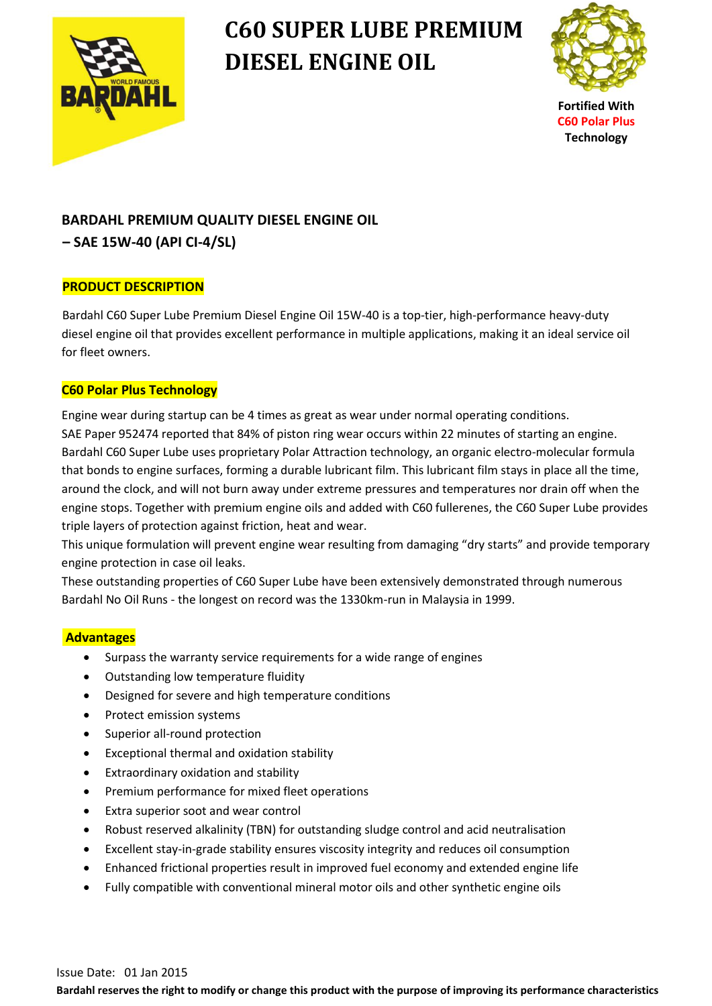

# **C60 SUPER LUBE PREMIUM DIESEL ENGINE OIL**



**Fortified With C60 Polar Plus Technology**

### **BARDAHL PREMIUM QUALITY DIESEL ENGINE OIL**

### **– SAE 15W-40 (API CI-4/SL)**

#### **PRODUCT DESCRIPTION**

Bardahl C60 Super Lube Premium Diesel Engine Oil 15W-40 is a top-tier, high-performance heavy-duty diesel engine oil that provides excellent performance in multiple applications, making it an ideal service oil for fleet owners.

#### **C60 Polar Plus Technology**

 Engine wear during startup can be 4 times as great as wear under normal operating conditions. SAE Paper 952474 reported that 84% of piston ring wear occurs within 22 minutes of starting an engine. Bardahl C60 Super Lube uses proprietary Polar Attraction technology, an organic electro-molecular formula that bonds to engine surfaces, forming a durable lubricant film. This lubricant film stays in place all the time, around the clock, and will not burn away under extreme pressures and temperatures nor drain off when the engine stops. Together with premium engine oils and added with C60 fullerenes, the C60 Super Lube provides triple layers of protection against friction, heat and wear.

 This unique formulation will prevent engine wear resulting from damaging "dry starts" and provide temporary engine protection in case oil leaks.

 These outstanding properties of C60 Super Lube have been extensively demonstrated through numerous Bardahl No Oil Runs - the longest on record was the 1330km-run in Malaysia in 1999.

#### **Advantages**

- Surpass the warranty service requirements for a wide range of engines
- Outstanding low temperature fluidity
- Designed for severe and high temperature conditions
- Protect emission systems
- Superior all-round protection
- Exceptional thermal and oxidation stability
- Extraordinary oxidation and stability
- Premium performance for mixed fleet operations
- Extra superior soot and wear control
- Robust reserved alkalinity (TBN) for outstanding sludge control and acid neutralisation
- Excellent stay-in-grade stability ensures viscosity integrity and reduces oil consumption
- Enhanced frictional properties result in improved fuel economy and extended engine life
- Fully compatible with conventional mineral motor oils and other synthetic engine oils

**Bardahl reserves the right to modify or change this product with the purpose of improving its performance characteristics**